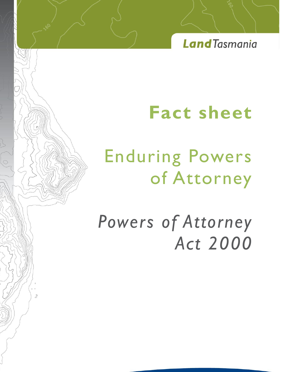**Land**Tasmania

# **Fact sheet**

# Enduring Powers of Attorney

 $\circ$ 

*Powers of Attorney Act 2000*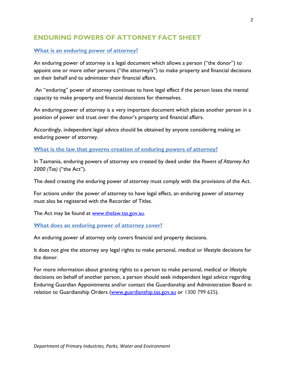# **ENDURING POWERS OF ATTORNEY FACT SHEET**

### **What is an enduring power of attorney?**

An enduring power of attorney is a legal document which allows a person ("the donor") to appoint one or more other persons ("the attorney/s") to make property and financial decisions on their behalf and to administer their financial affairs.

An "enduring" power of attorney continues to have legal effect if the person loses the mental capacity to make property and financial decisions for themselves.

An enduring power of attorney is a very important document which places another person in a position of power and trust over the donor's property and financial affairs.

Accordingly, independent legal advice should be obtained by anyone considering making an enduring power of attorney.

#### **What is the law that governs creation of enduring powers of attorney?**

In Tasmania, enduring powers of attorney are created by deed under the *Powers of Attorney Act 2000 (Tas)* ("the Act").

The deed creating the enduring power of attorney must comply with the provisions of the Act.

For actions under the power of attorney to have legal effect, an enduring power of attorney must also be registered with the Recorder of Titles.

The Act may be found at [www.thelaw.tas.gov.au.](http://www.thelaw.tas.gov.au/)

#### **What does an enduring power of attorney cover?**

An enduring power of attorney only covers financial and property decisions.

It does not give the attorney any legal rights to make personal, medical or lifestyle decisions for the donor.

For more information about granting rights to a person to make personal, medical or lifestyle decisions on behalf of another person, a person should seek independent legal advice regarding Enduring Guardian Appointments and/or contact the Guardianship and Administration Board in relation to Guardianship Orders [\(www.guardianship.tas.gov.au](http://www.guardianship.tas.gov.au/) or 1300 799 625).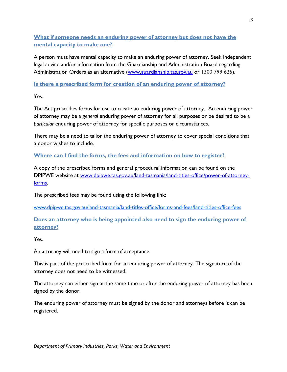**What if someone needs an enduring power of attorney but does not have the mental capacity to make one?**

A person must have mental capacity to make an enduring power of attorney. Seek independent legal advice and/or information from the Guardianship and Administration Board regarding Administration Orders as an alternative [\(www.guardianship.tas.gov.au](http://www.guardianship.tas.gov.au/) or 1300 799 625).

**Is there a prescribed form for creation of an enduring power of attorney?**

Yes.

The Act prescribes forms for use to create an enduring power of attorney. An enduring power of attorney may be a *general* enduring power of attorney for all purposes or be desired to be a *particular* enduring power of attorney for specific purposes or circumstances.

There may be a need to tailor the enduring power of attorney to cover special conditions that a donor wishes to include.

**Where can I find the forms, the fees and information on how to register?**

A copy of the prescribed forms and general procedural information can be found on the DPIPWE website at [www.dpipwe.tas.gov.au/land-tasmania/land-titles-office/power-of-attorney](http://www.dpipwe.tas.gov.au/land-tasmania/land-titles-office/power-of-attorney-forms)[forms.](http://www.dpipwe.tas.gov.au/land-tasmania/land-titles-office/power-of-attorney-forms)

The prescribed fees may be found using the following link:

www.dpipwe.tas.gov.au/land-tasmania/land-titles-office/forms-and-fees/land-titles-office-fees

**Does an attorney who is being appointed also need to sign the enduring power of attorney?**

Yes.

An attorney will need to sign a form of acceptance.

This is part of the prescribed form for an enduring power of attorney. The signature of the attorney does not need to be witnessed.

The attorney can either sign at the same time or after the enduring power of attorney has been signed by the donor.

The enduring power of attorney must be signed by the donor and attorneys before it can be registered.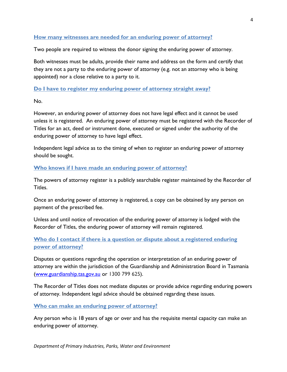### **How many witnesses are needed for an enduring power of attorney?**

Two people are required to witness the donor signing the enduring power of attorney.

Both witnesses must be adults, provide their name and address on the form and certify that they are not a party to the enduring power of attorney (e.g. not an attorney who is being appointed) nor a close relative to a party to it.

#### **Do I have to register my enduring power of attorney straight away?**

No.

However, an enduring power of attorney does not have legal effect and it cannot be used unless it is registered. An enduring power of attorney must be registered with the Recorder of Titles for an act, deed or instrument done, executed or signed under the authority of the enduring power of attorney to have legal effect.

Independent legal advice as to the timing of when to register an enduring power of attorney should be sought.

#### **Who knows if I have made an enduring power of attorney?**

The powers of attorney register is a publicly searchable register maintained by the Recorder of Titles.

Once an enduring power of attorney is registered, a copy can be obtained by any person on payment of the prescribed fee.

Unless and until notice of revocation of the enduring power of attorney is lodged with the Recorder of Titles, the enduring power of attorney will remain registered.

# **Who do I contact if there is a question or dispute about a registered enduring power of attorney?**

Disputes or questions regarding the operation or interpretation of an enduring power of attorney are within the jurisdiction of the Guardianship and Administration Board in Tasmania [\(www.guardianship.tas.gov.au](http://www.guardianship.tas.gov.au/) or 1300 799 625).

The Recorder of Titles does not mediate disputes or provide advice regarding enduring powers of attorney. Independent legal advice should be obtained regarding these issues.

**Who can make an enduring power of attorney?**

Any person who is 18 years of age or over and has the requisite mental capacity can make an enduring power of attorney.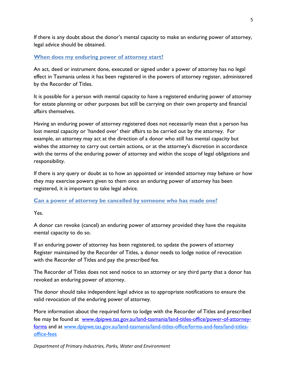If there is any doubt about the donor's mental capacity to make an enduring power of attorney, legal advice should be obtained.

# **When does my enduring power of attorney start?**

An act, deed or instrument done, executed or signed under a power of attorney has no legal effect in Tasmania unless it has been registered in the powers of attorney register, administered by the Recorder of Titles.

It is possible for a person with mental capacity to have a registered enduring power of attorney for estate planning or other purposes but still be carrying on their own property and financial affairs themselves.

Having an enduring power of attorney registered does not necessarily mean that a person has lost mental capacity or 'handed over' their affairs to be carried out by the attorney. For example, an attorney may act at the direction of a donor who still has mental capacity but wishes the attorney to carry out certain actions, or at the attorney's discretion in accordance with the terms of the enduring power of attorney and within the scope of legal obligations and responsibility.

If there is any query or doubt as to how an appointed or intended attorney may behave or how they may exercise powers given to them once an enduring power of attorney has been registered, it is important to take legal advice.

# **Can a power of attorney be cancelled by someone who has made one?**

Yes.

A donor can revoke (cancel) an enduring power of attorney provided they have the requisite mental capacity to do so.

If an enduring power of attorney has been registered, to update the powers of attorney Register maintained by the Recorder of Titles, a donor needs to lodge notice of revocation with the Recorder of Titles and pay the prescribed fee.

The Recorder of Titles does not send notice to an attorney or any third party that a donor has revoked an enduring power of attorney.

The donor should take independent legal advice as to appropriate notifications to ensure the valid revocation of the enduring power of attorney.

More information about the required form to lodge with the Recorder of Titles and prescribed fee may be found at [www.dpipwe.tas.gov.au/land-tasmania/land-titles-office/power-of-attorney](http://www.dpipwe.tas.gov.au/land-tasmania/land-titles-office/power-of-attorney-forms)[forms](http://www.dpipwe.tas.gov.au/land-tasmania/land-titles-office/power-of-attorney-forms) and at www.dpipwe.tas.gov.au/land-tasmania/land-titles-office/forms-and-fees/land-titlesoffice-fees

*Department of Primary Industries, Parks, Water and Environment*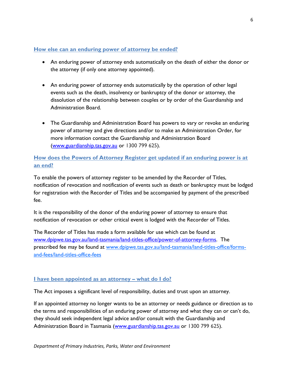## **How else can an enduring power of attorney be ended?**

- An enduring power of attorney ends automatically on the death of either the donor or the attorney (if only one attorney appointed).
- An enduring power of attorney ends automatically by the operation of other legal events such as the death, insolvency or bankruptcy of the donor or attorney, the dissolution of the relationship between couples or by order of the Guardianship and Administration Board.
- The Guardianship and Administration Board has powers to vary or revoke an enduring power of attorney and give directions and/or to make an Administration Order, for more information contact the Guardianship and Administration Board [\(www.guardianship.tas.gov.au](http://www.guardianship.tas.gov.au/) or 1300 799 625).

# **How does the Powers of Attorney Register get updated if an enduring power is at an end?**

To enable the powers of attorney register to be amended by the Recorder of Titles, notification of revocation and notification of events such as death or bankruptcy must be lodged for registration with the Recorder of Titles and be accompanied by payment of the prescribed fee.

It is the responsibility of the donor of the enduring power of attorney to ensure that notification of revocation or other critical event is lodged with the Recorder of Titles.

The Recorder of Titles has made a form available for use which can be found at [www.dpipwe.tas.gov.au/land-tasmania/land-titles-office/power-of-attorney-forms.](http://www.dpipwe.tas.gov.au/land-tasmania/land-titles-office/power-of-attorney-forms) The prescribed fee may be found at www.dpipwe.tas.gov.au/land-tasmania/land-titles-office/formsand-fees/land-titles-office-fees

# **I have been appointed as an attorney – what do I do?**

The Act imposes a significant level of responsibility, duties and trust upon an attorney.

If an appointed attorney no longer wants to be an attorney or needs guidance or direction as to the terms and responsibilities of an enduring power of attorney and what they can or can't do, they should seek independent legal advice and/or consult with the Guardianship and Administration Board in Tasmania [\(www.guardianship.tas.gov.au](http://www.guardianship.tas.gov.au/) or 1300 799 625).